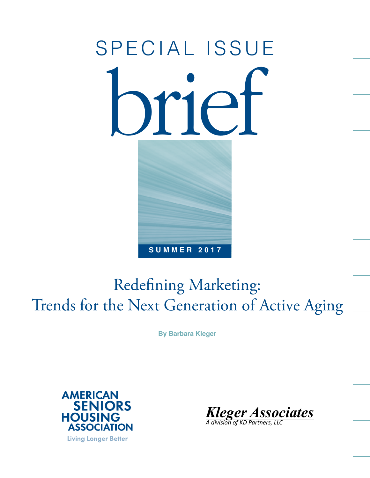# **SUMMER 2017** SPECIAL ISSUE brief

# Redefining Marketing: Trends for the Next Generation of Active Aging

**By Barbara Kleger**



*Kleger Associates*

*A division of KD Partners, LLC*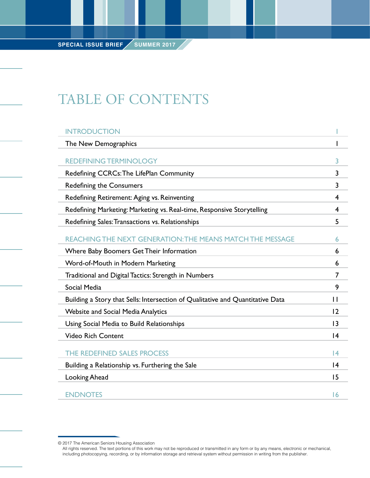# TABLE OF CONTENTS

| <b>INTRODUCTION</b>                                                            |                 |
|--------------------------------------------------------------------------------|-----------------|
| The New Demographics                                                           |                 |
| <b>REDEFINING TERMINOLOGY</b>                                                  | 3               |
| Redefining CCRCs: The LifePlan Community                                       | 3               |
| <b>Redefining the Consumers</b>                                                | $\overline{3}$  |
| Redefining Retirement: Aging vs. Reinventing                                   | 4               |
| Redefining Marketing: Marketing vs. Real-time, Responsive Storytelling         | 4               |
| Redefining Sales: Transactions vs. Relationships                               | 5               |
| REACHING THE NEXT GENERATION: THE MEANS MATCH THE MESSAGE                      | 6               |
| Where Baby Boomers Get Their Information                                       | 6               |
| Word-of-Mouth in Modern Marketing                                              | 6               |
| Traditional and Digital Tactics: Strength in Numbers                           | $\overline{7}$  |
| Social Media                                                                   | 9               |
| Building a Story that Sells: Intersection of Qualitative and Quantitative Data | $\mathbf{H}$    |
| <b>Website and Social Media Analytics</b>                                      | 12              |
| Using Social Media to Build Relationships                                      | 3               |
| <b>Video Rich Content</b>                                                      | 4               |
| THE REDEFINED SALES PROCESS                                                    | 4               |
| Building a Relationship vs. Furthering the Sale                                | $\overline{14}$ |
| Looking Ahead                                                                  | 15              |
| <b>ENDNOTES</b>                                                                | 16              |

<sup>© 2017</sup> The American Seniors Housing Association

All rights reserved. The text portions of this work may not be reproduced or transmitted in any form or by any means, electronic or mechanical, including photocopying, recording, or by information storage and retrieval system without permission in writing from the publisher.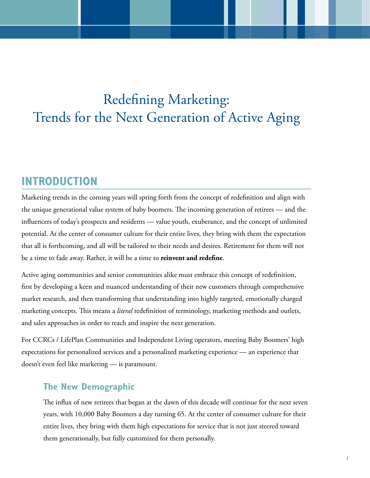# Redefining Marketing: Trends for the Next Generation of Active Aging

# **INTRODUCTION**

Marketing trends in the coming years will spring forth from the concept of redefinition and align with the unique generational value system of baby boomers. The incoming generation of retirees — and the influencers of today's prospects and residents — value youth, exuberance, and the concept of unlimited potential. At the center of consumer culture for their entire lives, they bring with them the expectation that all is forthcoming, and all will be tailored to their needs and desires. Retirement for them will not be a time to fade away. Rather, it will be a time to **reinvent and redefine**.

Active aging communities and senior communities alike must embrace this concept of redefinition, first by developing a keen and nuanced understanding of their new customers through comprehensive market research, and then transforming that understanding into highly targeted, emotionally charged marketing concepts. This means a *literal* redefinition of terminology, marketing methods and outlets, and sales approaches in order to reach and inspire the next generation.

For CCRCs / LifePlan Communities and Independent Living operators, meeting Baby Boomers' high expectations for personalized services and a personalized marketing experience — an experience that doesn't even feel like marketing — is paramount.

#### **The New Demographic**

The influx of new retirees that began at the dawn of this decade will continue for the next seven years, with 10,000 Baby Boomers a day turning 65. At the center of consumer culture for their entire lives, they bring with them high expectations for service that is not just steered toward them generationally, but fully customized for them personally.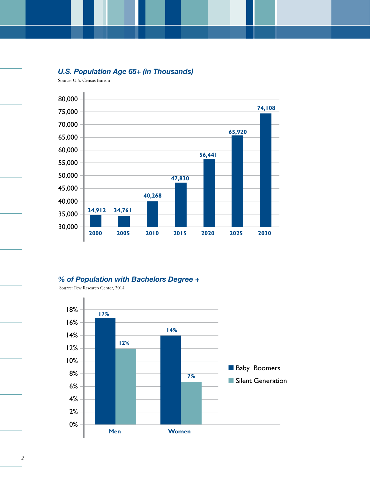#### *U.S. Population Age 65+ (in Thousands)*

Source: U.S. Census Bureau



#### *% of Population with Bachelors Degree +*

Source: Pew Research Center, 2014



*2*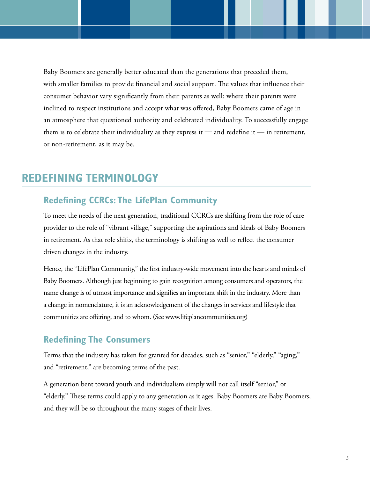Baby Boomers are generally better educated than the generations that preceded them, with smaller families to provide financial and social support. The values that influence their consumer behavior vary significantly from their parents as well: where their parents were inclined to respect institutions and accept what was offered, Baby Boomers came of age in an atmosphere that questioned authority and celebrated individuality. To successfully engage them is to celebrate their individuality as they express it  $-$  and redefine it  $-$  in retirement, or non-retirement, as it may be.

## **REDEFINING TERMINOLOGY**

#### **Redefining CCRCs: The LifePlan Community**

To meet the needs of the next generation, traditional CCRCs are shifting from the role of care provider to the role of "vibrant village," supporting the aspirations and ideals of Baby Boomers in retirement. As that role shifts, the terminology is shifting as well to reflect the consumer driven changes in the industry.

Hence, the "LifePlan Community," the first industry-wide movement into the hearts and minds of Baby Boomers. Although just beginning to gain recognition among consumers and operators, the name change is of utmost importance and signifies an important shift in the industry. More than a change in nomenclature, it is an acknowledgement of the changes in services and lifestyle that communities are offering, and to whom. (See www.lifeplancommunities.org)

#### **Redefining The Consumers**

Terms that the industry has taken for granted for decades, such as "senior," "elderly," "aging," and "retirement," are becoming terms of the past.

A generation bent toward youth and individualism simply will not call itself "senior," or "elderly." These terms could apply to any generation as it ages. Baby Boomers are Baby Boomers, and they will be so throughout the many stages of their lives.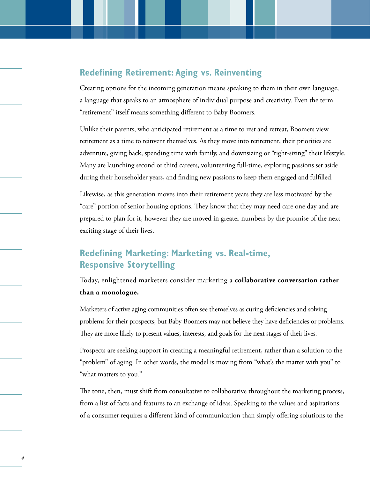#### **Redefining Retirement: Aging vs. Reinventing**

Creating options for the incoming generation means speaking to them in their own language, a language that speaks to an atmosphere of individual purpose and creativity. Even the term "retirement" itself means something different to Baby Boomers.

Unlike their parents, who anticipated retirement as a time to rest and retreat, Boomers view retirement as a time to reinvent themselves. As they move into retirement, their priorities are adventure, giving back, spending time with family, and downsizing or "right-sizing" their lifestyle. Many are launching second or third careers, volunteering full-time, exploring passions set aside during their householder years, and finding new passions to keep them engaged and fulfilled.

Likewise, as this generation moves into their retirement years they are less motivated by the "care" portion of senior housing options. They know that they may need care one day and are prepared to plan for it, however they are moved in greater numbers by the promise of the next exciting stage of their lives.

## **Redefining Marketing: Marketing vs. Real-time, Responsive Storytelling**

*4*

Today, enlightened marketers consider marketing a **collaborative conversation rather than a monologue.** 

Marketers of active aging communities often see themselves as curing deficiencies and solving problems for their prospects, but Baby Boomers may not believe they have deficiencies or problems. They are more likely to present values, interests, and goals for the next stages of their lives.

Prospects are seeking support in creating a meaningful retirement, rather than a solution to the "problem" of aging. In other words, the model is moving from "what's the matter with you" to "what matters to you."

The tone, then, must shift from consultative to collaborative throughout the marketing process, from a list of facts and features to an exchange of ideas. Speaking to the values and aspirations of a consumer requires a different kind of communication than simply offering solutions to the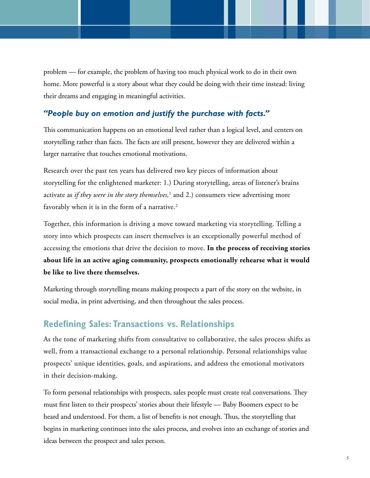problem — for example, the problem of having too much physical work to do in their own home. More powerful is a story about what they could be doing with their time instead: living their dreams and engaging in meaningful activities.

#### *"People buy on emotion and justify the purchase with facts."*

This communication happens on an emotional level rather than a logical level, and centers on storytelling rather than facts. The facts are still present, however they are delivered within a larger narrative that touches emotional motivations.

Research over the past ten years has delivered two key pieces of information about storytelling for the enlightened marketer: 1.) During storytelling, areas of listener's brains activate as *if they were in the story themselves,*<sup>1</sup> and 2.) consumers view advertising more favorably when it is in the form of a narrative. $2$ 

Together, this information is driving a move toward marketing via storytelling. Telling a story into which prospects can insert themselves is an exceptionally powerful method of accessing the emotions that drive the decision to move. **In the process of receiving stories about life in an active aging community, prospects emotionally rehearse what it would be like to live there themselves.** 

Marketing through storytelling means making prospects a part of the story on the website, in social media, in print advertising, and then throughout the sales process.

#### **Redefining Sales: Transactions vs. Relationships**

As the tone of marketing shifts from consultative to collaborative, the sales process shifts as well, from a transactional exchange to a personal relationship. Personal relationships value prospects' unique identities, goals, and aspirations, and address the emotional motivators in their decision-making.

To form personal relationships with prospects, sales people must create real conversations. They must first listen to their prospects' stories about their lifestyle — Baby Boomers expect to be heard and understood. For them, a list of benefits is not enough. Thus, the storytelling that begins in marketing continues into the sales process, and evolves into an exchange of stories and ideas between the prospect and sales person.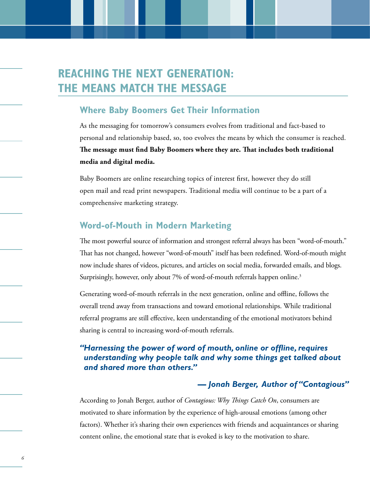# **REACHING THE NEXT GENERATION: THE MEANS MATCH THE MESSAGE**

#### **Where Baby Boomers Get Their Information**

As the messaging for tomorrow's consumers evolves from traditional and fact-based to personal and relationship based, so, too evolves the means by which the consumer is reached. **The message must find Baby Boomers where they are. That includes both traditional media and digital media.** 

Baby Boomers are online researching topics of interest first, however they do still open mail and read print newspapers. Traditional media will continue to be a part of a comprehensive marketing strategy.

#### **Word-of-Mouth in Modern Marketing**

The most powerful source of information and strongest referral always has been "word-of-mouth." That has not changed, however "word-of-mouth" itself has been redefined. Word-of-mouth might now include shares of videos, pictures, and articles on social media, forwarded emails, and blogs. Surprisingly, however, only about 7% of word-of-mouth referrals happen online.<sup>3</sup>

Generating word-of-mouth referrals in the next generation, online and offline, follows the overall trend away from transactions and toward emotional relationships. While traditional referral programs are still effective, keen understanding of the emotional motivators behind sharing is central to increasing word-of-mouth referrals.

#### *"Harnessing the power of word of mouth, online or offline, requires understanding why people talk and why some things get talked about and shared more than others."*

#### *— Jonah Berger, Author of "Contagious"*

According to Jonah Berger, author of *Contagious: Why Things Catch On*, consumers are motivated to share information by the experience of high-arousal emotions (among other factors). Whether it's sharing their own experiences with friends and acquaintances or sharing content online, the emotional state that is evoked is key to the motivation to share.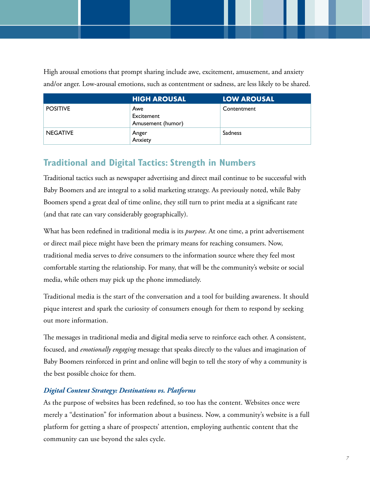High arousal emotions that prompt sharing include awe, excitement, amusement, and anxiety and/or anger. Low-arousal emotions, such as contentment or sadness, are less likely to be shared.

|                 | <b>HIGH AROUSAL</b>                    | <b>LOW AROUSAL</b> |
|-----------------|----------------------------------------|--------------------|
| <b>POSITIVE</b> | Awe<br>Excitement<br>Amusement (humor) | Contentment        |
| <b>NEGATIVE</b> | Anger<br>Anxiety                       | <b>Sadness</b>     |

# **Traditional and Digital Tactics: Strength in Numbers**

Traditional tactics such as newspaper advertising and direct mail continue to be successful with Baby Boomers and are integral to a solid marketing strategy. As previously noted, while Baby Boomers spend a great deal of time online, they still turn to print media at a significant rate (and that rate can vary considerably geographically).

What has been redefined in traditional media is its *purpose*. At one time, a print advertisement or direct mail piece might have been the primary means for reaching consumers. Now, traditional media serves to drive consumers to the information source where they feel most comfortable starting the relationship. For many, that will be the community's website or social media, while others may pick up the phone immediately.

Traditional media is the start of the conversation and a tool for building awareness. It should pique interest and spark the curiosity of consumers enough for them to respond by seeking out more information.

The messages in traditional media and digital media serve to reinforce each other. A consistent, focused, and *emotionally engaging* message that speaks directly to the values and imagination of Baby Boomers reinforced in print and online will begin to tell the story of why a community is the best possible choice for them.

#### *Digital Content Strategy: Destinations vs. Platforms*

As the purpose of websites has been redefined, so too has the content. Websites once were merely a "destination" for information about a business. Now, a community's website is a full platform for getting a share of prospects' attention, employing authentic content that the community can use beyond the sales cycle.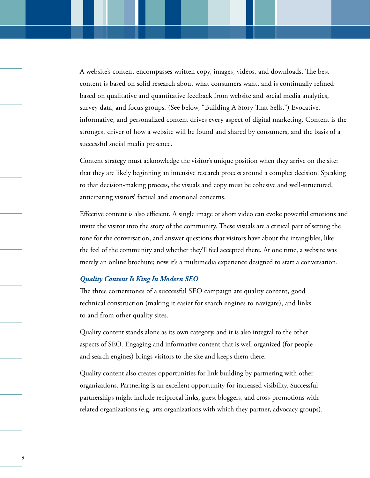A website's content encompasses written copy, images, videos, and downloads. The best content is based on solid research about what consumers want, and is continually refined based on qualitative and quantitative feedback from website and social media analytics, survey data, and focus groups. (See below, "Building A Story That Sells.") Evocative, informative, and personalized content drives every aspect of digital marketing. Content is the strongest driver of how a website will be found and shared by consumers, and the basis of a successful social media presence.

Content strategy must acknowledge the visitor's unique position when they arrive on the site: that they are likely beginning an intensive research process around a complex decision. Speaking to that decision-making process, the visuals and copy must be cohesive and well-structured, anticipating visitors' factual and emotional concerns.

Effective content is also efficient. A single image or short video can evoke powerful emotions and invite the visitor into the story of the community. These visuals are a critical part of setting the tone for the conversation, and answer questions that visitors have about the intangibles, like the feel of the community and whether they'll feel accepted there. At one time, a website was merely an online brochure; now it's a multimedia experience designed to start a conversation.

#### *Quality Content Is King In Modern SEO*

*8*

The three cornerstones of a successful SEO campaign are quality content, good technical construction (making it easier for search engines to navigate), and links to and from other quality sites.

Quality content stands alone as its own category, and it is also integral to the other aspects of SEO. Engaging and informative content that is well organized (for people and search engines) brings visitors to the site and keeps them there.

Quality content also creates opportunities for link building by partnering with other organizations. Partnering is an excellent opportunity for increased visibility. Successful partnerships might include reciprocal links, guest bloggers, and cross-promotions with related organizations (e.g. arts organizations with which they partner, advocacy groups).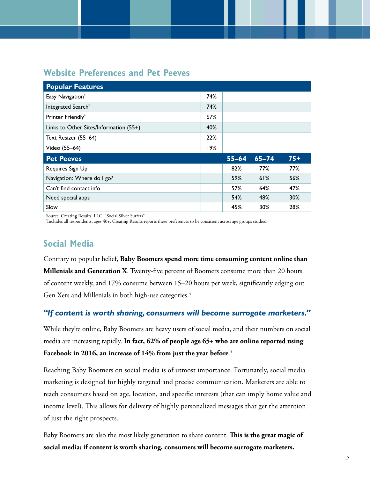#### **Website Preferences and Pet Peeves**

| <b>Popular Features</b>                |     |           |           |       |
|----------------------------------------|-----|-----------|-----------|-------|
| Easy Navigation*                       | 74% |           |           |       |
| Integrated Search*                     | 74% |           |           |       |
| Printer Friendly*                      | 67% |           |           |       |
| Links to Other Sites/Information (55+) | 40% |           |           |       |
| Text Resizer (55-64)                   | 22% |           |           |       |
|                                        |     |           |           |       |
| Video (55-64)                          | 19% |           |           |       |
| <b>Pet Peeves</b>                      |     | $55 - 64$ | $65 - 74$ | $75+$ |
| Requires Sign Up                       |     | 82%       | 77%       | 77%   |
| Navigation: Where do I go?             |     | 59%       | 61%       | 56%   |
| Can't find contact info                |     | 57%       | 64%       | 47%   |
| Need special apps                      |     | 54%       | 48%       | 30%   |

Source: Creating Results, LLC. "Social Silver Surfers"

\* Includes all respondents, ages 40+. Creating Results reports these preferences to be consistent across age groups studied.

## **Social Media**

Contrary to popular belief, **Baby Boomers spend more time consuming content online than Millenials and Generation X**. Twenty-five percent of Boomers consume more than 20 hours of content weekly, and 17% consume between 15–20 hours per week, significantly edging out Gen Xers and Millenials in both high-use categories.<sup>4</sup>

#### *"If content is worth sharing, consumers will become surrogate marketers."*

While they're online, Baby Boomers are heavy users of social media, and their numbers on social media are increasing rapidly. **In fact, 62% of people age 65+ who are online reported using Facebook in 2016, an increase of 14% from just the year before**. 5

Reaching Baby Boomers on social media is of utmost importance. Fortunately, social media marketing is designed for highly targeted and precise communication. Marketers are able to reach consumers based on age, location, and specific interests (that can imply home value and income level). This allows for delivery of highly personalized messages that get the attention of just the right prospects.

Baby Boomers are also the most likely generation to share content. **This is the great magic of social media: if content is worth sharing, consumers will become surrogate marketers.**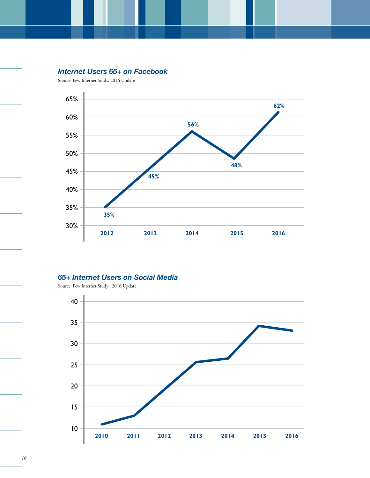#### *Internet Users 65+ on Facebook*

Source: Pew Internet Study, 2016 Update



#### *65+ Internet Users on Social Media*

Source: Pew Internet Study , 2016 Update

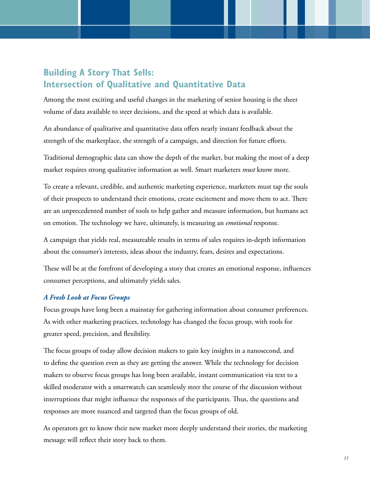### **Building A Story That Sells: Intersection of Qualitative and Quantitative Data**

Among the most exciting and useful changes in the marketing of senior housing is the sheer volume of data available to steer decisions, and the speed at which data is available.

An abundance of qualitative and quantitative data offers nearly instant feedback about the strength of the marketplace, the strength of a campaign, and direction for future efforts.

Traditional demographic data can show the depth of the market, but making the most of a deep market requires strong qualitative information as well. Smart marketers *must* know more.

To create a relevant, credible, and authentic marketing experience, marketers must tap the souls of their prospects to understand their emotions, create excitement and move them to act. There are an unprecedented number of tools to help gather and measure information, but humans act on emotion. The technology we have, ultimately, is measuring an *emotional* response.

A campaign that yields real, measureable results in terms of sales requires in-depth information about the consumer's interests, ideas about the industry, fears, desires and expectations.

These will be at the forefront of developing a story that creates an emotional response, influences consumer perceptions, and ultimately yields sales.

#### *A Fresh Look at Focus Groups*

Focus groups have long been a mainstay for gathering information about consumer preferences. As with other marketing practices, technology has changed the focus group, with tools for greater speed, precision, and flexibility.

The focus groups of today allow decision makers to gain key insights in a nanosecond, and to define the question even as they are getting the answer. While the technology for decision makers to observe focus groups has long been available, instant communication via text to a skilled moderator with a smartwatch can seamlessly steer the course of the discussion without interruptions that might influence the responses of the participants. Thus, the questions and responses are more nuanced and targeted than the focus groups of old.

As operators get to know their new market more deeply understand their stories, the marketing message will reflect their story back to them.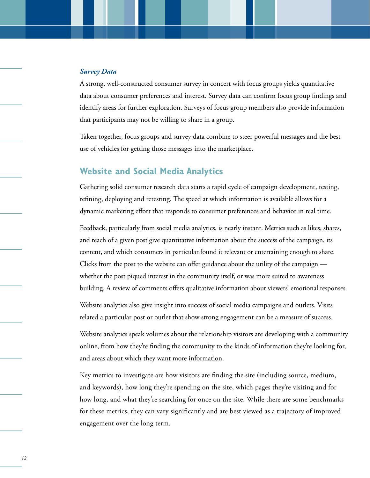#### *Survey Data*

A strong, well-constructed consumer survey in concert with focus groups yields quantitative data about consumer preferences and interest. Survey data can confirm focus group findings and identify areas for further exploration. Surveys of focus group members also provide information that participants may not be willing to share in a group.

Taken together, focus groups and survey data combine to steer powerful messages and the best use of vehicles for getting those messages into the marketplace.

#### **Website and Social Media Analytics**

Gathering solid consumer research data starts a rapid cycle of campaign development, testing, refining, deploying and retesting. The speed at which information is available allows for a dynamic marketing effort that responds to consumer preferences and behavior in real time.

Feedback, particularly from social media analytics, is nearly instant. Metrics such as likes, shares, and reach of a given post give quantitative information about the success of the campaign, its content, and which consumers in particular found it relevant or entertaining enough to share. Clicks from the post to the website can offer guidance about the utility of the campaign whether the post piqued interest in the community itself, or was more suited to awareness building. A review of comments offers qualitative information about viewers' emotional responses.

Website analytics also give insight into success of social media campaigns and outlets. Visits related a particular post or outlet that show strong engagement can be a measure of success.

Website analytics speak volumes about the relationship visitors are developing with a community online, from how they're finding the community to the kinds of information they're looking for, and areas about which they want more information.

Key metrics to investigate are how visitors are finding the site (including source, medium, and keywords), how long they're spending on the site, which pages they're visiting and for how long, and what they're searching for once on the site. While there are some benchmarks for these metrics, they can vary significantly and are best viewed as a trajectory of improved engagement over the long term.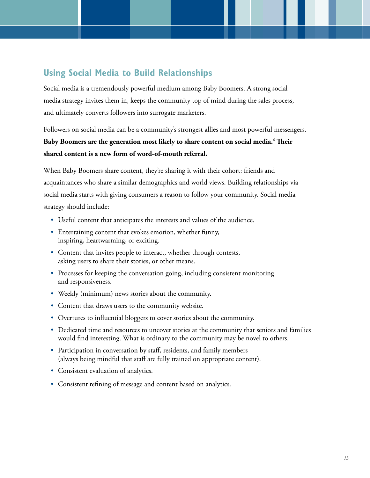#### **Using Social Media to Build Relationships**

Social media is a tremendously powerful medium among Baby Boomers. A strong social media strategy invites them in, keeps the community top of mind during the sales process, and ultimately converts followers into surrogate marketers.

Followers on social media can be a community's strongest allies and most powerful messengers. **Baby Boomers are the generation most likely to share content on social media.**<sup>6</sup>  **Their shared content is a new form of word-of-mouth referral.** 

When Baby Boomers share content, they're sharing it with their cohort: friends and acquaintances who share a similar demographics and world views. Building relationships via social media starts with giving consumers a reason to follow your community. Social media strategy should include:

- Useful content that anticipates the interests and values of the audience.
- Entertaining content that evokes emotion, whether funny, inspiring, heartwarming, or exciting.
- Content that invites people to interact, whether through contests, asking users to share their stories, or other means.
- Processes for keeping the conversation going, including consistent monitoring and responsiveness.
- Weekly (minimum) news stories about the community.
- Content that draws users to the community website.
- Overtures to influential bloggers to cover stories about the community.
- Dedicated time and resources to uncover stories at the community that seniors and families would find interesting. What is ordinary to the community may be novel to others.
- Participation in conversation by staff, residents, and family members (always being mindful that staff are fully trained on appropriate content).
- Consistent evaluation of analytics.
- Consistent refining of message and content based on analytics.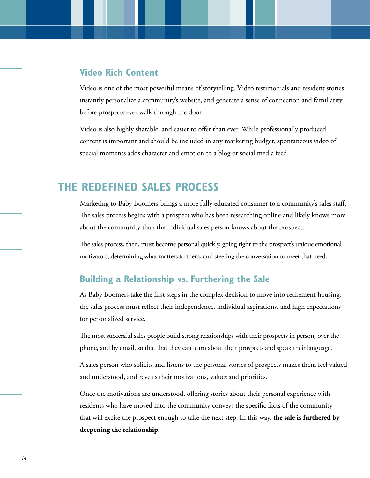#### **Video Rich Content**

Video is one of the most powerful means of storytelling. Video testimonials and resident stories instantly personalize a community's website, and generate a sense of connection and familiarity before prospects ever walk through the door.

Video is also highly sharable, and easier to offer than ever. While professionally produced content is important and should be included in any marketing budget, spontaneous video of special moments adds character and emotion to a blog or social media feed.

# **THE REDEFINED SALES PROCESS**

Marketing to Baby Boomers brings a more fully educated consumer to a community's sales staff. The sales process begins with a prospect who has been researching online and likely knows more about the community than the individual sales person knows about the prospect.

The sales process, then, must become personal quickly, going right to the prospect's unique emotional motivators, determining what matters to them, and steering the conversation to meet that need.

#### **Building a Relationship vs. Furthering the Sale**

As Baby Boomers take the first steps in the complex decision to move into retirement housing, the sales process must reflect their independence, individual aspirations, and high expectations for personalized service.

The most successful sales people build strong relationships with their prospects in person, over the phone, and by email, so that that they can learn about their prospects and speak their language.

A sales person who solicits and listens to the personal stories of prospects makes them feel valued and understood, and reveals their motivations, values and priorities.

Once the motivations are understood, offering stories about their personal experience with residents who have moved into the community conveys the specific facts of the community that will excite the prospect enough to take the next step. In this way, **the sale is furthered by deepening the relationship.**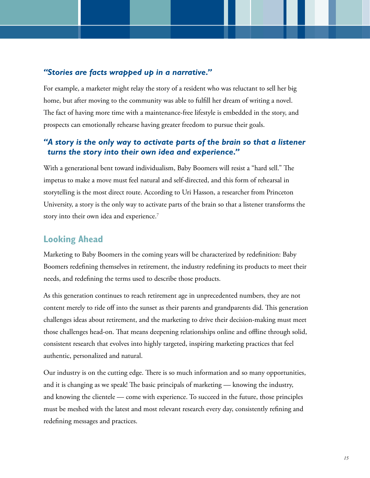#### *"Stories are facts wrapped up in a narrative."*

For example, a marketer might relay the story of a resident who was reluctant to sell her big home, but after moving to the community was able to fulfill her dream of writing a novel. The fact of having more time with a maintenance-free lifestyle is embedded in the story, and prospects can emotionally rehearse having greater freedom to pursue their goals.

#### *"A story is the only way to activate parts of the brain so that a listener turns the story into their own idea and experience."*

With a generational bent toward individualism, Baby Boomers will resist a "hard sell." The impetus to make a move must feel natural and self-directed, and this form of rehearsal in storytelling is the most direct route. According to Uri Hasson, a researcher from Princeton University, a story is the only way to activate parts of the brain so that a listener transforms the story into their own idea and experience.<sup>7</sup>

#### **Looking Ahead**

Marketing to Baby Boomers in the coming years will be characterized by redefinition: Baby Boomers redefining themselves in retirement, the industry redefining its products to meet their needs, and redefining the terms used to describe those products.

As this generation continues to reach retirement age in unprecedented numbers, they are not content merely to ride off into the sunset as their parents and grandparents did. This generation challenges ideas about retirement, and the marketing to drive their decision-making must meet those challenges head-on. That means deepening relationships online and offline through solid, consistent research that evolves into highly targeted, inspiring marketing practices that feel authentic, personalized and natural.

Our industry is on the cutting edge. There is so much information and so many opportunities, and it is changing as we speak! The basic principals of marketing — knowing the industry, and knowing the clientele — come with experience. To succeed in the future, those principles must be meshed with the latest and most relevant research every day, consistently refining and redefining messages and practices.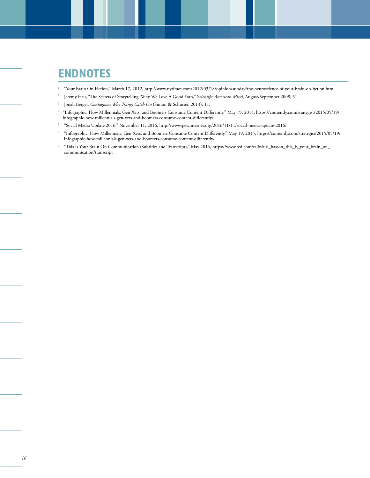## **ENDNOTES**

- 1 "Your Brain On Fiction," March 17, 2012, http://www.nytimes.com/2012/03/18/opinion/sunday/the-neuroscience-of-your-brain-on-fiction.html
- <sup>2</sup> Jeremy Hsu, "The Secrets of Storytelling: Why We Love A Good Yarn," Scientific American Mind, August/September 2008, 51.
- 3 Jonah Berger, *Contagious: Why Things Catch On* (Simon & Schuster, 2013), 11.
- 4 "Infographic: How Millennials, Gen Xers, and Boomers Consume Content Differently," May 19, 2015, https://contently.com/strategist/2015/05/19/ infographic-how-millennials-gen-xers-and-boomers-consume-content-differently/
- 5 "Social Media Update 2016," November 11, 2016, http://www.pewinternet.org/2016/11/11/social-media-update-2016/
- <sup>6</sup> "Infographic: How Millennials, Gen Xers, and Boomers Consume Content Differently," May 19, 2015, https://contently.com/strategist/2015/05/19/ infographic-how-millennials-gen-xers-and-boomers-consume-content-differently/
- <sup>7</sup> "This Is Your Brain On Communication (Subtitles and Transcript)," May 2016, https://www.ted.com/talks/uri\_hasson\_this\_is\_your\_brain\_on\_ communication/transcript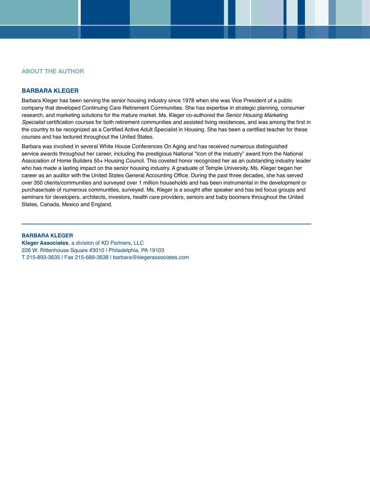#### **ABOUT THE AUTHOR**

#### **BARBARA KLEGER**

Barbara Kleger has been serving the senior housing industry since 1978 when she was Vice President of a public company that developed Continuing Care Retirement Communities. She has expertise in strategic planning, consumer research, and marketing solutions for the mature market. Ms. Kleger co-authored the *Senior Housing Marketing Specialist* certification courses for both retirement communities and assisted living residences, and was among the first in the country to be recognized as a Certified Active Adult Specialist in Housing. She has been a certified teacher for these courses and has lectured throughout the United States.

Barbara was involved in several White House Conferences On Aging and has received numerous distinguished service awards throughout her career, including the prestigious National "Icon of the Industry" award from the National Association of Home Builders 55+ Housing Council. This coveted honor recognized her as an outstanding industry leader who has made a lasting impact on the senior housing industry. A graduate of Temple University, Ms. Kleger began her career as an auditor with the United States General Accounting Office. During the past three decades, she has served over 350 clients/communities and surveyed over 1 million households and has been instrumental in the development or purchase/sale of numerous communities, surveyed. Ms. Kleger is a sought after speaker and has led focus groups and seminars for developers, architects, investors, health care providers, seniors and baby boomers throughout the United States, Canada, Mexico and England.

#### **BARBARA KLEGER**

**Kleger Associates**, a division of KD Partners, LLC 226 W. Rittenhouse Square #3010 | Philadelphia, PA 19103 T 215-893-3635 | Fax 215-689-3638 | barbara@klegerassociates.com